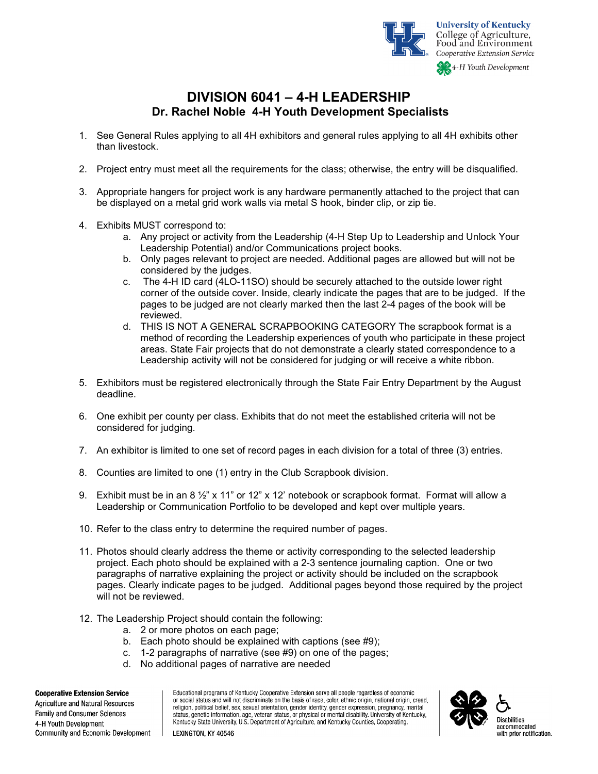

## **DIVISION 6041 – 4-H LEADERSHIP Dr. Rachel Noble 4-H Youth Development Specialists**

- 1. See General Rules applying to all 4H exhibitors and general rules applying to all 4H exhibits other than livestock.
- 2. Project entry must meet all the requirements for the class; otherwise, the entry will be disqualified.
- 3. Appropriate hangers for project work is any hardware permanently attached to the project that can be displayed on a metal grid work walls via metal S hook, binder clip, or zip tie.
- 4. Exhibits MUST correspond to:
	- a. Any project or activity from the Leadership (4-H Step Up to Leadership and Unlock Your Leadership Potential) and/or Communications project books.
	- b. Only pages relevant to project are needed. Additional pages are allowed but will not be considered by the judges.
	- c. The 4-H ID card (4LO-11SO) should be securely attached to the outside lower right corner of the outside cover. Inside, clearly indicate the pages that are to be judged. If the pages to be judged are not clearly marked then the last 2-4 pages of the book will be reviewed.
	- d. THIS IS NOT A GENERAL SCRAPBOOKING CATEGORY The scrapbook format is a method of recording the Leadership experiences of youth who participate in these project areas. State Fair projects that do not demonstrate a clearly stated correspondence to a Leadership activity will not be considered for judging or will receive a white ribbon.
- 5. Exhibitors must be registered electronically through the State Fair Entry Department by the August deadline.
- 6. One exhibit per county per class. Exhibits that do not meet the established criteria will not be considered for judging.
- 7. An exhibitor is limited to one set of record pages in each division for a total of three (3) entries.
- 8. Counties are limited to one (1) entry in the Club Scrapbook division.
- 9. Exhibit must be in an 8  $\frac{1}{2}$ " x 11" or 12" x 12' notebook or scrapbook format. Format will allow a Leadership or Communication Portfolio to be developed and kept over multiple years.
- 10. Refer to the class entry to determine the required number of pages.
- 11. Photos should clearly address the theme or activity corresponding to the selected leadership project. Each photo should be explained with a 2-3 sentence journaling caption. One or two paragraphs of narrative explaining the project or activity should be included on the scrapbook pages. Clearly indicate pages to be judged. Additional pages beyond those required by the project will not be reviewed.
- 12. The Leadership Project should contain the following:
	- a. 2 or more photos on each page;
	- b. Each photo should be explained with captions (see #9);
	- c. 1-2 paragraphs of narrative (see #9) on one of the pages;
	- d. No additional pages of narrative are needed

## **Cooperative Extension Service**

Agriculture and Natural Resources Family and Consumer Sciences 4-H Youth Development Community and Economic Development Educational programs of Kentucky Cooperative Extension serve all people regardless of economic or social status and will not discriminate on the basis of race, color, ethnic origin, national origin, creed, religion, political belief, sex, sexual orientation, gender identity, gender expression, pregnancy, marital status, genetic information, age, veteran status, or physical or mental disability. University of Kentucky, Kentucky State University, U.S. Department of Agriculture, and Kentucky Counties, Cooperating.